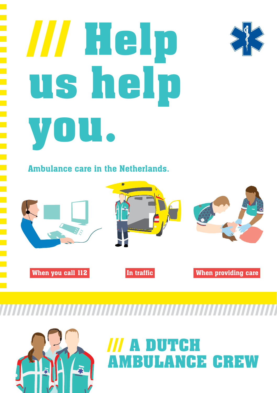# **/// Help us help you.**



Ambulance care in the Netherlands.



**//////////////////////////////////////////////////////////////**

霸

## **/// A DUTCH AMBULANCE CREW**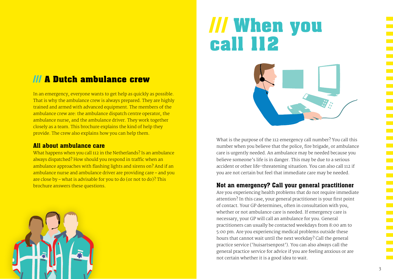### **/// A Dutch ambulance crew**

In an emergency, everyone wants to get help as quickly as possible. That is why the ambulance crew is always prepared. They are highly trained and armed with advanced equipment. The members of the ambulance crew are: the ambulance dispatch centre operator, the ambulance nurse, and the ambulance driver. They work together closely as a team. This brochure explains the kind of help they provide. The crew also explains how you can help them.

#### All about ambulance care

What happens when you call 112 in the Netherlands? Is an ambulance always dispatched? How should you respond in traffic when an ambulance approaches with flashing lights and sirens on? And if an ambulance nurse and ambulance driver are providing care – and you are close by – what is advisable for you to do (or not to do)? This brochure answers these questions.



# **/// When you call 112**



What is the purpose of the 112 emergency call number? You call this number when you believe that the police, fire brigade, or ambulance care is urgently needed. An ambulance may be needed because you believe someone's life is in danger. This may be due to a serious accident or other life-threatening situation. You can also call 112 if you are not certain but feel that immediate care may be needed.

#### Not an emergency? Call your general practitioner

Are you experiencing health problems that do not require immediate attention? In this case, your general practitioner is your first point of contact. Your GP determines, often in consultation with you, whether or not ambulance care is needed. If emergency care is necessary, your GP will call an ambulance for you. General practitioners can usually be contacted weekdays from 8:00 am to 5:00 pm. Are you experiencing medical problems outside these hours that cannot wait until the next workday? Call the general practice service ('huisartsenpost'). You can also always call the general practice service for advice if you are feeling anxious or are not certain whether it is a good idea to wait.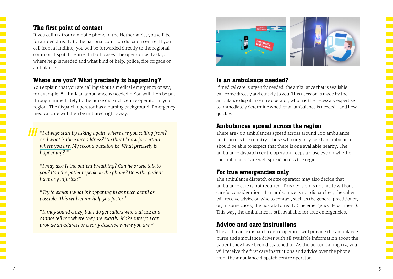#### The first point of contact

If you call 112 from a mobile phone in the Netherlands, you will be forwarded directly to the national common dispatch centre. If you call from a landline, you will be forwarded directly to the regional common dispatch centre. In both cases, the operator will ask you where help is needed and what kind of help: police, fire brigade or ambulance.

#### Where are you? What precisely is happening?

You explain that you are calling about a medical emergency or say, for example: "I think an ambulance is needed." You will then be put through immediately to the nurse dispatch centre operator in your region. The dispatch operator has a nursing background. Emergency medical care will then be initiated right away.

**///** *"I always start by asking again 'where are you calling from? And what is the exact address?' So that I know for certain where you are. My second question is: 'What precisely is happening?'"*

*"I may ask: Is the patient breathing? Can he or she talk to you? Can the patient speak on the phone? Does the patient have any injuries?"*

*"Try to explain what is happening in as much detail as possible. This will let me help you faster."*

*"It may sound crazy, but I do get callers who dial 112 and cannot tell me where they are exactly. Make sure you can provide an address or clearly describe where you are."*



#### Is an ambulance needed?

If medical care is urgently needed, the ambulance that is available will come directly and quickly to you. This decision is made by the ambulance dispatch centre operator, who has the necessary expertise to immediately determine whether an ambulance is needed – and how quickly.

#### Ambulances spread across the region

There are 900 ambulances spread across around 200 ambulance posts across the country. Those who urgently need an ambulance should be able to expect that there is one available nearby. The ambulance dispatch centre operator keeps a close eye on whether the ambulances are well spread across the region.

#### For true emergencies only

The ambulance dispatch centre operator may also decide that ambulance care is not required. This decision is not made without careful consideration. If an ambulance is not dispatched, the caller will receive advice on who to contact, such as the general practitioner, or, in some cases, the hospital directly (the emergency department). This way, the ambulance is still available for true emergencies.

#### Advice and care instructions

The ambulance dispatch centre operator will provide the ambulance nurse and ambulance driver with all available information about the patient they have been dispatched to. As the person calling 112, you will receive the first care instructions and advice over the phone from the ambulance dispatch centre operator.

<u>in a</u> <u>an</u>

<u>ra</u>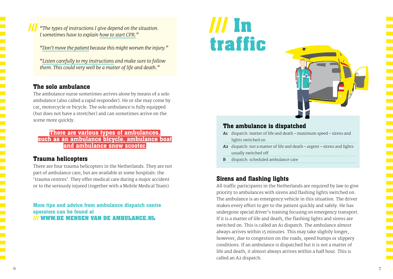**///** *"The types of instructions I give depend on the situation. I sometimes have to explain how to start CPR."*

*"Don't move the patient because this might worsen the injury."*

*"Listen carefully to my instructions and make sure to follow them. This could very well be a matter of life and death."*

#### The solo ambulance

The ambulance nurse sometimes arrives alone by means of a solo ambulance (also called a rapid responder). He or she may come by car, motorcycle or bicycle. The solo ambulance is fully equipped (but does not have a stretcher) and can sometimes arrive on the scene more quickly.

There are various types of ambulances, such as an ambulance bicycle, ambulance boat and ambulance snow scooter.

#### Trauma helicopters

There are four trauma helicopters in the Netherlands. They are not part of ambulance care, but are available at some hospitals: the 'trauma centres'. They offer medical care during a major accident or to the seriously injured (together with a Mobile Medical Team).

More tips and advice from ambulance dispatch centre operators can be found at **/// WWW.DE MENSEN VAN DE AMBULANCE.NL**

# **/// In traffic**



#### The ambulance is dispatched

- **A1** dispatch: matter of life and death maximum speed sirens and lights switched on
- **A2** dispatch: not a matter of life and death urgent sirens and lights usually switched off
- **B** dispatch: scheduled ambulance care

#### Sirens and flashing lights

All traffic participants in the Netherlands are required by law to give priority to ambulances with sirens and flashing lights switched on. The ambulance is an emergency vehicle in this situation. The driver makes every effort to get to the patient quickly and safely. He has undergone special driver's training focusing on emergency transport. If it is a matter of life and death, the flashing lights and sirens are switched on. This is called an A1 dispatch. The ambulance almost always arrives within 15 minutes. This may take slightly longer, however, due to congestion on the roads, speed bumps or slippery conditions. If an ambulance is dispatched but it is not a matter of life and death, it almost always arrives within a half hour. This is called an A2 dispatch.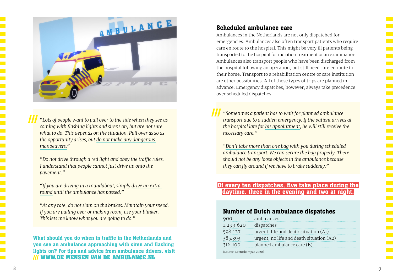

**/// ///** *"Lots of people want to pull over to the side when they see us coming with flashing lights and sirens on, but are not sure what to do. This depends on the situation. Pull over as so as the opportunity arises, but do not make any dangerous manoeuvers."*

*"Do not drive through a red light and obey the traffic rules. I understand that people cannot just drive up onto the pavement."*

*"If you are driving in a roundabout, simply drive an extra round until the ambulance has passed."*

*"At any rate, do not slam on the brakes. Maintain your speed. If you are pulling over or making room, use your blinker. This lets me know what you are going to do."*

What should you do when in traffic in the Netherlands and you see an ambulance approaching with siren and flashing lights on? For tips and advice from ambulance drivers, visit **/// WWW.DE MENSEN VAN DE AMBULANCE.NL**

#### Scheduled ambulance care

Ambulances in the Netherlands are not only dispatched for emergencies. Ambulances also often transport patients who require care en route to the hospital. This might be very ill patients being transported to the hospital for radiation treatment or an examination. Ambulances also transport people who have been discharged from the hospital following an operation, but still need care en route to their home. Transport to a rehabilitation centre or care institution are other possibilities. All of these types of trips are planned in advance. Emergency dispatches, however, always take precedence over scheduled dispatches.

*"Sometimes a patient has to wait for planned ambulance transport due to a sudden emergency. If the patient arrives at the hospital late for his appointment, he will still receive the necessary care."*

*"Don't take more than one bag with you during scheduled ambulance transport. We can secure the bag properly. There should not be any loose objects in the ambulance because they can fly around if we have to brake suddenly."*

#### Of every ten dispatches, five take place during the daytime, three in the evening and two at night.

#### Number of Dutch ambulance dispatches

| 900                         | ambulances                               |
|-----------------------------|------------------------------------------|
| 1.299.620                   | dispatches                               |
| 598.127                     | urgent, life and death situation (A1)    |
| 385.393                     | urgent, no life and death situation (A2) |
| 316.100                     | planned ambulance care (B)               |
| (Source: Sectorkompas 2020) |                                          |

. . . . .

. . . . .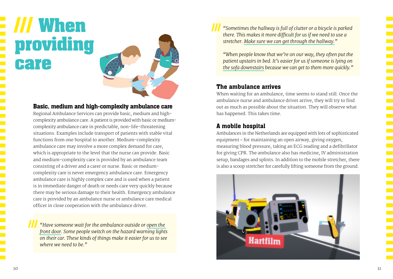**/// When providing care**



#### Basic, medium and high-complexity ambulance care

Regional Ambulance Services can provide basic, medium and highcomplexity ambulance care. A patient is provided with basic or mediumcomplexity ambulance care in predictable, non-life-threatening situations. Examples include transport of patients with stable vital functions from one hospital to another. Medium-complexity ambulance care may involve a more complex demand for care, which is appropriate to the level that the nurse can provide. Basic and medium-complexity care is provided by an ambulance team consisting of a driver and a carer or nurse. Basic or mediumcomplexity care is never emergency ambulance care. Emergency ambulance care is highly complex care and is used when a patient is in immediate danger of death or needs care very quickly because there may be serious damage to their health. Emergency ambulance care is provided by an ambulance nurse or ambulance care medical officer in close cooperation with the ambulance driver.

*"Have someone wait for the ambulance outside or open the front door. Some people switch on the hazard warning lights on their car. These kinds of things make it easier for us to see where we need to be."*

**///** *"Sometimes the hallway is full of clutter or a bicycle is parked there. This makes it more difficult for us if we need to use a stretcher. Make sure we can get through the hallway."*

*"When people know that we're on our way, they often put the patient upstairs in bed. It's easier for us if someone is lying on the sofa downstairs because we can get to them more quickly."*

#### The ambulance arrives

When waiting for an ambulance, time seems to stand still. Once the ambulance nurse and ambulance driver arrive, they will try to find out as much as possible about the situation. They will observe what has happened. This takes time.

#### A mobile hospital

Ambulances in the Netherlands are equipped with lots of sophisticated equipment – for maintaining an open airway, giving oxygen, measuring blood pressure, taking an ECG reading and a defibrillator for giving CPR. The ambulance also has medicine, IV administration setup, bandages and splints. In addition to the mobile stretcher, there is also a scoop stretcher for carefully lifting someone from the ground.



**///**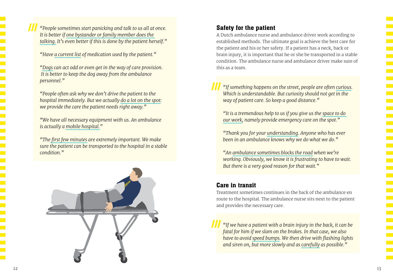**///** *"People sometimes start panicking and talk to us all at once. It is better if one bystander or family member does the talking. It's even better if this is done by the patient herself."*

*"Have a current list of medication used by the patient."*

*"Dogs can act odd or even get in the way of care provision. It is better to keep the dog away from the ambulance personnel."*

*"People often ask why we don't drive the patient to the hospital immediately. But we actually do a lot on the spot: we provide the care the patient needs right away."*

*"We have all necessary equipment with us. An ambulance is actually a mobile hospital."*

*"The first few minutes are extremely important. We make sure the patient can be transported to the hospital in a stable condition."*



#### Safety for the patient

A Dutch ambulance nurse and ambulance driver work according to established methods. The ultimate goal is achieve the best care for the patient and his or her safety. If a patient has a neck, back or brain injury, it is important that he or she be transported in a stable condition. The ambulance nurse and ambulance driver make sure of this as a team.

**///** *"If something happens on the street, people are often curious. Which is understandable. But curiosity should not get in the way of patient care. So keep a good distance."*

*"It is a tremendous help to us if you give us the space to do our work, namely provide emergency care on the spot."* 

*"Thank you for your understanding. Anyone who has ever been in an ambulance knows why we do what we do."*

*"An ambulance sometimes blocks the road when we're working. Obviously, we know it is frustrating to have to wait. But there is a very good reason for that wait."*

#### Care in transit

Treatment sometimes continues in the back of the ambulance en route to the hospital. The ambulance nurse sits next to the patient and provides the necessary care.

**///** *"If we have a patient with a brain injury in the back, it can be fatal for him if we slam on the brakes. In that case, we also have to avoid speed bumps. We then drive with flashing lights and siren on, but more slowly and as carefully as possible."*

e.<br>D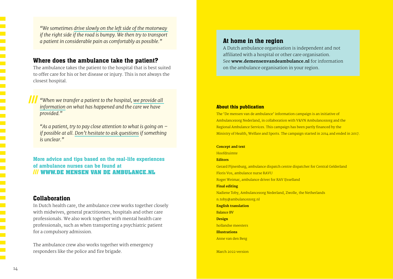*"We sometimes drive slowly on the left side of the motorway if the right side if the road is bumpy. We then try to transport a patient in considerable pain as comfortably as possible."* 

#### Where does the ambulance take the patient?

The ambulance takes the patient to the hospital that is best suited to offer care for his or her disease or injury. This is not always the closest hospital.

**///** *"When we transfer a patient to the hospital, we provide all information on what has happened and the care we have provided."*

*"As a patient, try to pay close attention to what is going on – if possible at all. Don't hesitate to ask questions if something is unclear."*

More advice and tips based on the real-life experiences of ambulance nurses can be found at **/// WWW.DE MENSEN VAN DE AMBULANCE.NL**

#### Collaboration

In Dutch health care, the ambulance crew works together closely with midwives, general practitioners, hospitals and other care professionals. We also work together with mental health care professionals, such as when transporting a psychiatric patient for a compulsory admission.

The ambulance crew also works together with emergency responders like the police and fire brigade.

#### At home in the region

A Dutch ambulance organisation is independent and not affiliated with a hospital or other care organisation. See **www.demensenvandeambulance.nl** for information on the ambulance organisation in your region.

#### About this publication

The 'De mensen van de ambulance' information campaign is an initiative of Ambulancezorg Nederland, in collaboration with V&VN Ambulancezorg and the Regional Ambulance Services. This campaign has been partly financed by the Ministry of Health, Welfare and Sports. The campaign started in 2014 and ended in 2017.

#### **Concept and text**  Hoofdruimte **Editors**

Gerard Pijnenburg, ambulance dispatch centre dispatcher for Central Gelderland Floris Vos, ambulance nurse RAVU Roger Weimar, ambulance driver for RAV IJsselland **Final editing** Nadiene Toby, Ambulancezorg Nederland, Zwolle, the Netherlands n.toby@ambulancezorg.nl **English translation** Balance BV **Design** hollandse meesters **Illustrations** Anne van den Berg

March 2022 version